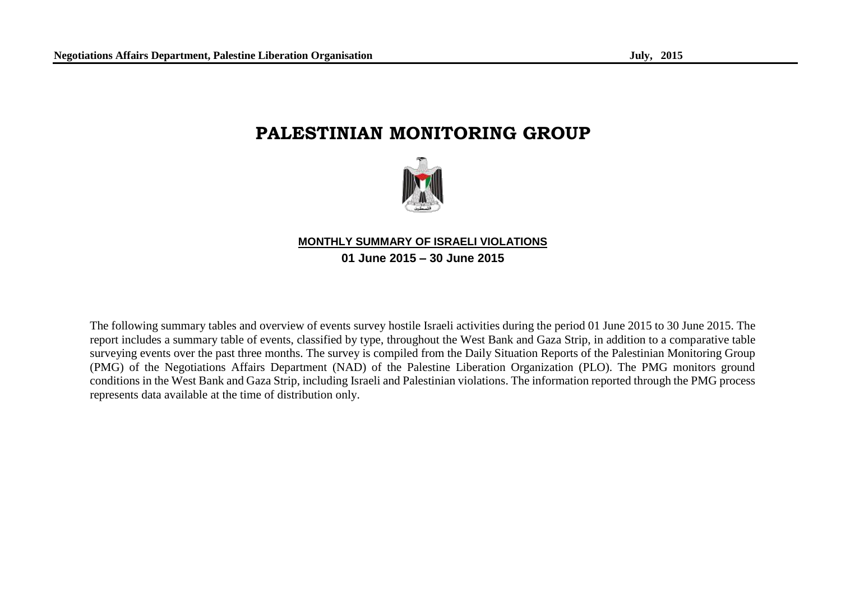# **PALESTINIAN MONITORING GROUP**



## **MONTHLY SUMMARY OF ISRAELI VIOLATIONS 01 June 2015 – 30 June 2015**

The following summary tables and overview of events survey hostile Israeli activities during the period 01 June 2015 to 30 June 2015. The report includes a summary table of events, classified by type, throughout the West Bank and Gaza Strip, in addition to a comparative table surveying events over the past three months. The survey is compiled from the Daily Situation Reports of the Palestinian Monitoring Group (PMG) of the Negotiations Affairs Department (NAD) of the Palestine Liberation Organization (PLO). The PMG monitors ground conditions in the West Bank and Gaza Strip, including Israeli and Palestinian violations. The information reported through the PMG process represents data available at the time of distribution only.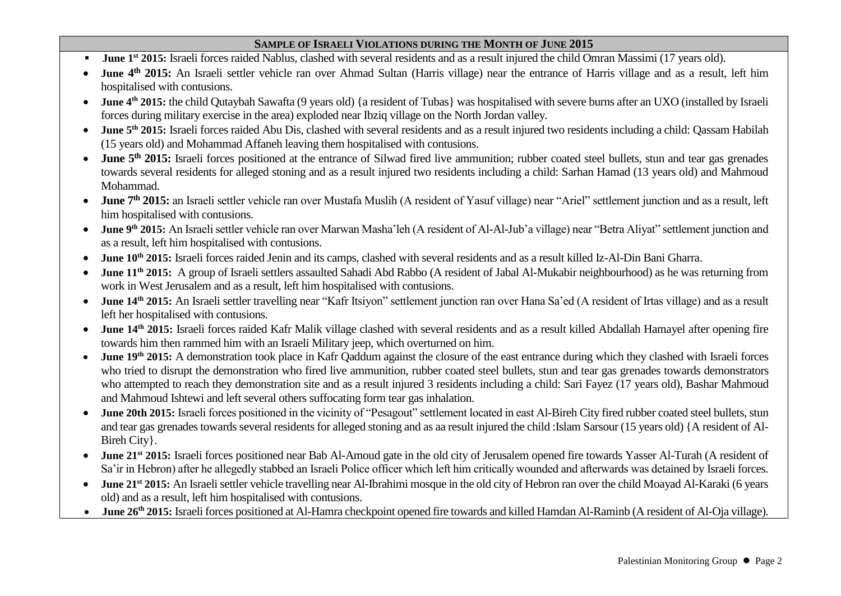#### **SAMPLE OF ISRAELI VIOLATIONS DURING THE MONTH OF JUNE 2015**

- **June 1<sup>st</sup>** 2015: Israeli forces raided Nablus, clashed with several residents and as a result injured the child Omran Massimi (17 years old).
- June 4<sup>th</sup> 2015: An Israeli settler vehicle ran over Ahmad Sultan (Harris village) near the entrance of Harris village and as a result, left him hospitalised with contusions.
- June 4<sup>th</sup> 2015: the child Qutaybah Sawafta (9 years old) {a resident of Tubas} was hospitalised with severe burns after an UXO (installed by Israeli forces during military exercise in the area) exploded near Ibziq village on the North Jordan valley.
- June 5<sup>th</sup> 2015: Israeli forces raided Abu Dis, clashed with several residents and as a result injured two residents including a child: Qassam Habilah (15 years old) and Mohammad Affaneh leaving them hospitalised with contusions.
- **June 5<sup>th</sup>** 2015: Israeli forces positioned at the entrance of Silwad fired live ammunition; rubber coated steel bullets, stun and tear gas grenades towards several residents for alleged stoning and as a result injured two residents including a child: Sarhan Hamad (13 years old) and Mahmoud Mohammad.
- **June 7th 2015:** an Israeli settler vehicle ran over Mustafa Muslih (A resident of Yasuf village) near "Ariel" settlement junction and as a result, left him hospitalised with contusions.
- June 9<sup>th</sup> 2015: An Israeli settler vehicle ran over Marwan Masha'leh (A resident of Al-Al-Jub'a village) near "Betra Aliyat" settlement junction and as a result, left him hospitalised with contusions.
- **June 10th 2015:** Israeli forces raided Jenin and its camps, clashed with several residents and as a result killed Iz-Al-Din Bani Gharra.
- **June 11th 2015:** A group of Israeli settlers assaulted Sahadi Abd Rabbo (A resident of Jabal Al-Mukabir neighbourhood) as he was returning from work in West Jerusalem and as a result, left him hospitalised with contusions.
- **June 14th 2015:** An Israeli settler travelling near "Kafr Itsiyon" settlement junction ran over Hana Sa'ed (A resident of Irtas village) and as a result left her hospitalised with contusions.
- **June 14th 2015:** Israeli forces raided Kafr Malik village clashed with several residents and as a result killed Abdallah Hamayel after opening fire towards him then rammed him with an Israeli Military jeep, which overturned on him.
- June 19<sup>th</sup> 2015: A demonstration took place in Kafr Qaddum against the closure of the east entrance during which they clashed with Israeli forces who tried to disrupt the demonstration who fired live ammunition, rubber coated steel bullets, stun and tear gas grenades towards demonstrators who attempted to reach they demonstration site and as a result injured 3 residents including a child: Sari Fayez (17 years old), Bashar Mahmoud and Mahmoud Ishtewi and left several others suffocating form tear gas inhalation.
- **June 20th 2015:** Israeli forces positioned in the vicinity of "Pesagout" settlement located in east Al-Bireh City fired rubber coated steel bullets, stun and tear gas grenades towards several residents for alleged stoning and as aa result injured the child :Islam Sarsour (15 years old) {A resident of Al-Bireh City}.
- **June 21st 2015:** Israeli forces positioned near Bab Al-Amoud gate in the old city of Jerusalem opened fire towards Yasser Al-Turah (A resident of Sa'ir in Hebron) after he allegedly stabbed an Israeli Police officer which left him critically wounded and afterwards was detained by Israeli forces.
- June 21<sup>st</sup> 2015: An Israeli settler vehicle travelling near Al-Ibrahimi mosque in the old city of Hebron ran over the child Moayad Al-Karaki (6 years old) and as a result, left him hospitalised with contusions.
- **June 26th 2015:** Israeli forces positioned at Al-Hamra checkpoint opened fire towards and killed Hamdan Al-Raminb (A resident of Al-Oja village).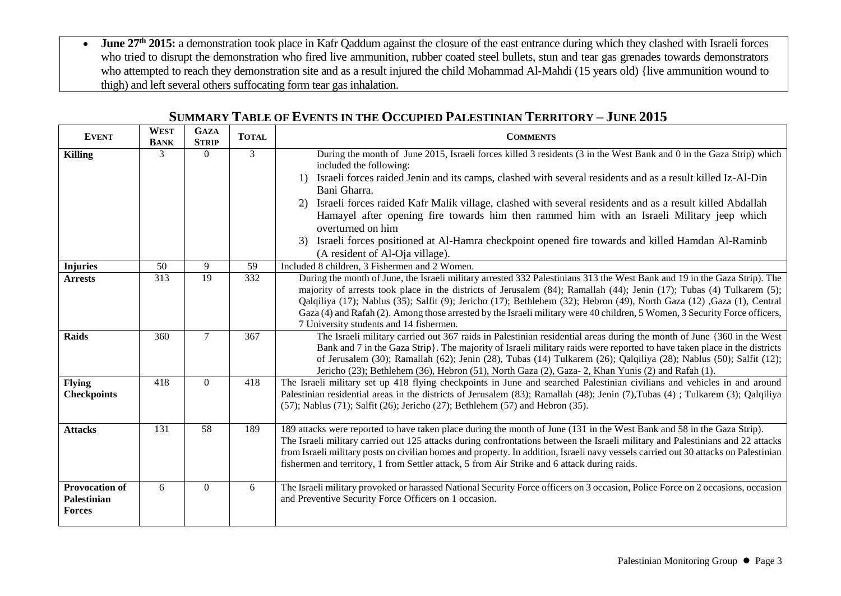• June 27<sup>th</sup> 2015: a demonstration took place in Kafr Qaddum against the closure of the east entrance during which they clashed with Israeli forces who tried to disrupt the demonstration who fired live ammunition, rubber coated steel bullets, stun and tear gas grenades towards demonstrators who attempted to reach they demonstration site and as a result injured the child Mohammad Al-Mahdi (15 years old) {live ammunition wound to thigh) and left several others suffocating form tear gas inhalation.

| <b>EVENT</b>                                          | <b>WEST</b><br><b>BANK</b> | <b>GAZA</b><br><b>STRIP</b> | <b>TOTAL</b>    | <b>COMMENTS</b>                                                                                                                                                                                                                                                                                                                                                                                                                                                                                                                                                                                                                                                                                |  |
|-------------------------------------------------------|----------------------------|-----------------------------|-----------------|------------------------------------------------------------------------------------------------------------------------------------------------------------------------------------------------------------------------------------------------------------------------------------------------------------------------------------------------------------------------------------------------------------------------------------------------------------------------------------------------------------------------------------------------------------------------------------------------------------------------------------------------------------------------------------------------|--|
| <b>Killing</b>                                        | $\mathcal{R}$              | $\Omega$                    | 3               | During the month of June 2015, Israeli forces killed 3 residents (3 in the West Bank and 0 in the Gaza Strip) which<br>included the following:<br>Israeli forces raided Jenin and its camps, clashed with several residents and as a result killed Iz-Al-Din<br>$\left( \frac{1}{2} \right)$<br>Bani Gharra.<br>Israeli forces raided Kafr Malik village, clashed with several residents and as a result killed Abdallah<br>2)<br>Hamayel after opening fire towards him then rammed him with an Israeli Military jeep which<br>overturned on him<br>Israeli forces positioned at Al-Hamra checkpoint opened fire towards and killed Hamdan Al-Raminb<br>3)<br>(A resident of Al-Oja village). |  |
| <b>Injuries</b>                                       | 50                         | 9                           | 59              | Included 8 children, 3 Fishermen and 2 Women.                                                                                                                                                                                                                                                                                                                                                                                                                                                                                                                                                                                                                                                  |  |
| <b>Arrests</b>                                        | 313                        | $\overline{19}$             | $\frac{1}{332}$ | During the month of June, the Israeli military arrested 332 Palestinians 313 the West Bank and 19 in the Gaza Strip). The<br>majority of arrests took place in the districts of Jerusalem (84); Ramallah (44); Jenin (17); Tubas (4) Tulkarem (5);<br>Qalqiliya (17); Nablus (35); Salfit (9); Jericho (17); Bethlehem (32); Hebron (49), North Gaza (12), Gaza (1), Central<br>Gaza (4) and Rafah (2). Among those arrested by the Israeli military were 40 children, 5 Women, 3 Security Force officers,<br>7 University students and 14 fishermen.                                                                                                                                          |  |
| <b>Raids</b>                                          | 360                        | $\tau$                      | 367             | The Israeli military carried out 367 raids in Palestinian residential areas during the month of June {360 in the West<br>Bank and 7 in the Gaza Strip}. The majority of Israeli military raids were reported to have taken place in the districts<br>of Jerusalem (30); Ramallah (62); Jenin (28), Tubas (14) Tulkarem (26); Qalqiliya (28); Nablus (50); Salfit (12);<br>Jericho (23); Bethlehem (36), Hebron (51), North Gaza (2), Gaza-2, Khan Yunis (2) and Rafah (1).                                                                                                                                                                                                                     |  |
| <b>Flying</b><br><b>Checkpoints</b>                   | 418                        | $\theta$                    | 418             | The Israeli military set up 418 flying checkpoints in June and searched Palestinian civilians and vehicles in and around<br>Palestinian residential areas in the districts of Jerusalem (83); Ramallah (48); Jenin (7), Tubas (4); Tulkarem (3); Qalqiliya<br>$(57)$ ; Nablus $(71)$ ; Salfit $(26)$ ; Jericho $(27)$ ; Bethlehem $(57)$ and Hebron $(35)$ .                                                                                                                                                                                                                                                                                                                                   |  |
| <b>Attacks</b>                                        | 131                        | 58                          | 189             | 189 attacks were reported to have taken place during the month of June (131 in the West Bank and 58 in the Gaza Strip).<br>The Israeli military carried out 125 attacks during confrontations between the Israeli military and Palestinians and 22 attacks<br>from Israeli military posts on civilian homes and property. In addition, Israeli navy vessels carried out 30 attacks on Palestinian<br>fishermen and territory, 1 from Settler attack, 5 from Air Strike and 6 attack during raids.                                                                                                                                                                                              |  |
| <b>Provocation of</b><br>Palestinian<br><b>Forces</b> | 6                          | $\theta$                    | 6               | The Israeli military provoked or harassed National Security Force officers on 3 occasion, Police Force on 2 occasions, occasion<br>and Preventive Security Force Officers on 1 occasion.                                                                                                                                                                                                                                                                                                                                                                                                                                                                                                       |  |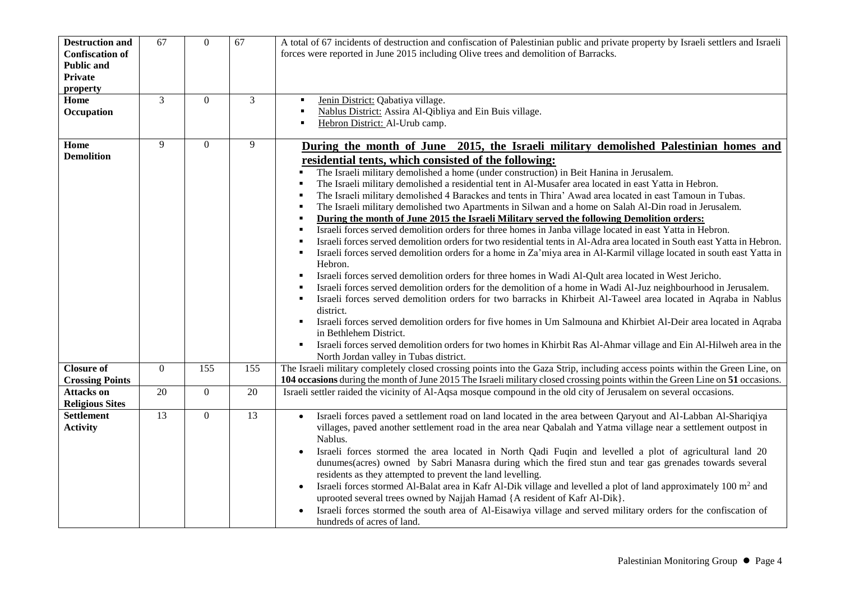| <b>Destruction and</b><br><b>Confiscation of</b><br><b>Public and</b><br><b>Private</b><br>property | 67           | $\overline{0}$   | 67     | A total of 67 incidents of destruction and confiscation of Palestinian public and private property by Israeli settlers and Israeli<br>forces were reported in June 2015 including Olive trees and demolition of Barracks.                                                                                                                                                                                                                                                                                                                                                                                                                                                                                                                                                                                                                                                                                                                                                                                                                                                                                                                                                                                                                                                                                                                                                                                                                                                                                                                                                                                                                                                                                                         |  |  |
|-----------------------------------------------------------------------------------------------------|--------------|------------------|--------|-----------------------------------------------------------------------------------------------------------------------------------------------------------------------------------------------------------------------------------------------------------------------------------------------------------------------------------------------------------------------------------------------------------------------------------------------------------------------------------------------------------------------------------------------------------------------------------------------------------------------------------------------------------------------------------------------------------------------------------------------------------------------------------------------------------------------------------------------------------------------------------------------------------------------------------------------------------------------------------------------------------------------------------------------------------------------------------------------------------------------------------------------------------------------------------------------------------------------------------------------------------------------------------------------------------------------------------------------------------------------------------------------------------------------------------------------------------------------------------------------------------------------------------------------------------------------------------------------------------------------------------------------------------------------------------------------------------------------------------|--|--|
| Home<br>Occupation                                                                                  | 3            | $\overline{0}$   | 3      | Jenin District: Qabatiya village.<br>Nablus District: Assira Al-Qibliya and Ein Buis village.<br>$\blacksquare$<br>Hebron District: Al-Urub camp.<br>٠                                                                                                                                                                                                                                                                                                                                                                                                                                                                                                                                                                                                                                                                                                                                                                                                                                                                                                                                                                                                                                                                                                                                                                                                                                                                                                                                                                                                                                                                                                                                                                            |  |  |
| Home<br><b>Demolition</b>                                                                           | 9            | $\theta$         | 9      | During the month of June 2015, the Israeli military demolished Palestinian homes and<br>residential tents, which consisted of the following:<br>The Israeli military demolished a home (under construction) in Beit Hanina in Jerusalem.<br>The Israeli military demolished a residential tent in Al-Musafer area located in east Yatta in Hebron.<br>The Israeli military demolished 4 Barackes and tents in Thira' Awad area located in east Tamoun in Tubas.<br>The Israeli military demolished two Apartments in Silwan and a home on Salah Al-Din road in Jerusalem.<br>During the month of June 2015 the Israeli Military served the following Demolition orders:<br>Israeli forces served demolition orders for three homes in Janba village located in east Yatta in Hebron.<br>Israeli forces served demolition orders for two residential tents in Al-Adra area located in South east Yatta in Hebron.<br>Israeli forces served demolition orders for a home in Za'miya area in Al-Karmil village located in south east Yatta in<br>Hebron.<br>Israeli forces served demolition orders for three homes in Wadi Al-Qult area located in West Jericho.<br>Israeli forces served demolition orders for the demolition of a home in Wadi Al-Juz neighbourhood in Jerusalem.<br>Israeli forces served demolition orders for two barracks in Khirbeit Al-Taweel area located in Aqraba in Nablus<br>district.<br>Israeli forces served demolition orders for five homes in Um Salmouna and Khirbiet Al-Deir area located in Aqraba<br>in Bethlehem District.<br>Israeli forces served demolition orders for two homes in Khirbit Ras Al-Ahmar village and Ein Al-Hilweh area in the<br>North Jordan valley in Tubas district. |  |  |
| <b>Closure of</b><br><b>Crossing Points</b>                                                         | $\mathbf{0}$ | $\overline{155}$ | 155    | The Israeli military completely closed crossing points into the Gaza Strip, including access points within the Green Line, on<br>104 occasions during the month of June 2015 The Israeli military closed crossing points within the Green Line on 51 occasions.                                                                                                                                                                                                                                                                                                                                                                                                                                                                                                                                                                                                                                                                                                                                                                                                                                                                                                                                                                                                                                                                                                                                                                                                                                                                                                                                                                                                                                                                   |  |  |
| <b>Attacks</b> on<br><b>Religious Sites</b>                                                         | 20           | $\mathbf{0}$     | $20\,$ | Israeli settler raided the vicinity of Al-Aqsa mosque compound in the old city of Jerusalem on several occasions.                                                                                                                                                                                                                                                                                                                                                                                                                                                                                                                                                                                                                                                                                                                                                                                                                                                                                                                                                                                                                                                                                                                                                                                                                                                                                                                                                                                                                                                                                                                                                                                                                 |  |  |
| <b>Settlement</b><br><b>Activity</b>                                                                | 13           | $\overline{0}$   | 13     | Israeli forces paved a settlement road on land located in the area between Qaryout and Al-Labban Al-Shariqiya<br>villages, paved another settlement road in the area near Qabalah and Yatma village near a settlement outpost in<br>Nablus.<br>Israeli forces stormed the area located in North Qadi Fuqin and levelled a plot of agricultural land 20<br>dunumes(acres) owned by Sabri Manasra during which the fired stun and tear gas grenades towards several<br>residents as they attempted to prevent the land levelling.<br>Israeli forces stormed Al-Balat area in Kafr Al-Dik village and levelled a plot of land approximately 100 m <sup>2</sup> and<br>$\bullet$<br>uprooted several trees owned by Najjah Hamad { A resident of Kafr Al-Dik}.<br>Israeli forces stormed the south area of Al-Eisawiya village and served military orders for the confiscation of<br>hundreds of acres of land.                                                                                                                                                                                                                                                                                                                                                                                                                                                                                                                                                                                                                                                                                                                                                                                                                       |  |  |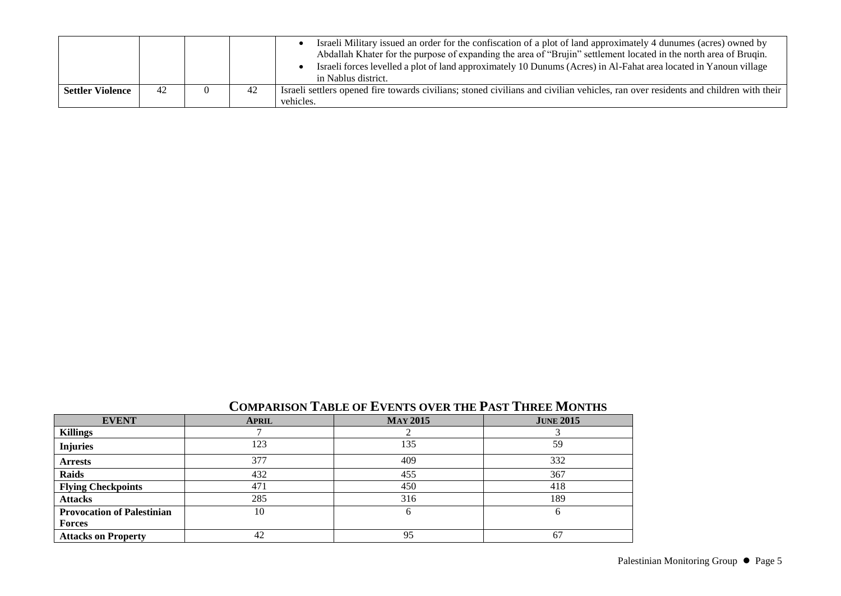|                  |    |    | Israeli Military issued an order for the confiscation of a plot of land approximately 4 dunumes (acres) owned by<br>Abdallah Khater for the purpose of expanding the area of "Brujin" settlement located in the north area of Brugin.<br>Israeli forces levelled a plot of land approximately 10 Dunums (Acres) in Al-Fahat area located in Yanoun village<br>in Nablus district. |
|------------------|----|----|-----------------------------------------------------------------------------------------------------------------------------------------------------------------------------------------------------------------------------------------------------------------------------------------------------------------------------------------------------------------------------------|
| Settler Violence | 42 | 42 | Israeli settlers opened fire towards civilians; stoned civilians and civilian vehicles, ran over residents and children with their<br>vehicles.                                                                                                                                                                                                                                   |

| <b>EVENT</b>                      | <b>APRIL</b> | <b>MAY 2015</b> | <b>JUNE 2015</b> |
|-----------------------------------|--------------|-----------------|------------------|
| <b>Killings</b>                   |              |                 |                  |
| <b>Injuries</b>                   | 123          | 135             | 59               |
| <b>Arrests</b>                    | 377          | 409             | 332              |
| <b>Raids</b>                      | 432          | 455             | 367              |
| <b>Flying Checkpoints</b>         | 471          | 450             | 418              |
| <b>Attacks</b>                    | 285          | 316             | 189              |
| <b>Provocation of Palestinian</b> | 10           | 6               |                  |
| <b>Forces</b>                     |              |                 |                  |
| <b>Attacks on Property</b>        | 42           | 95              | 67               |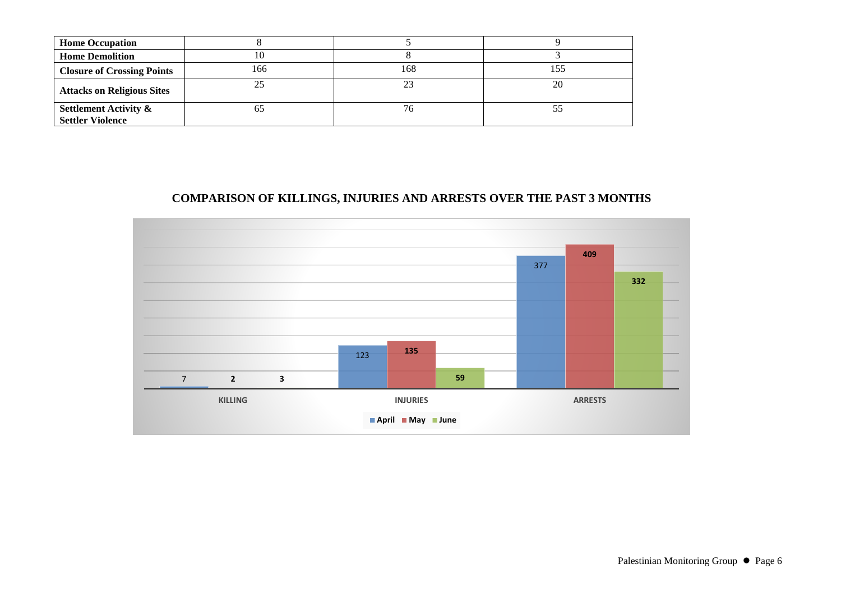| <b>Home Occupation</b>                                      |     |     |    |
|-------------------------------------------------------------|-----|-----|----|
| <b>Home Demolition</b>                                      | ΙU  |     |    |
| <b>Closure of Crossing Points</b>                           | 166 | 168 |    |
| <b>Attacks on Religious Sites</b>                           | 25  |     | 20 |
| <b>Settlement Activity &amp;</b><br><b>Settler Violence</b> | OΣ  |     |    |

### **COMPARISON OF KILLINGS, INJURIES AND ARRESTS OVER THE PAST 3 MONTHS**

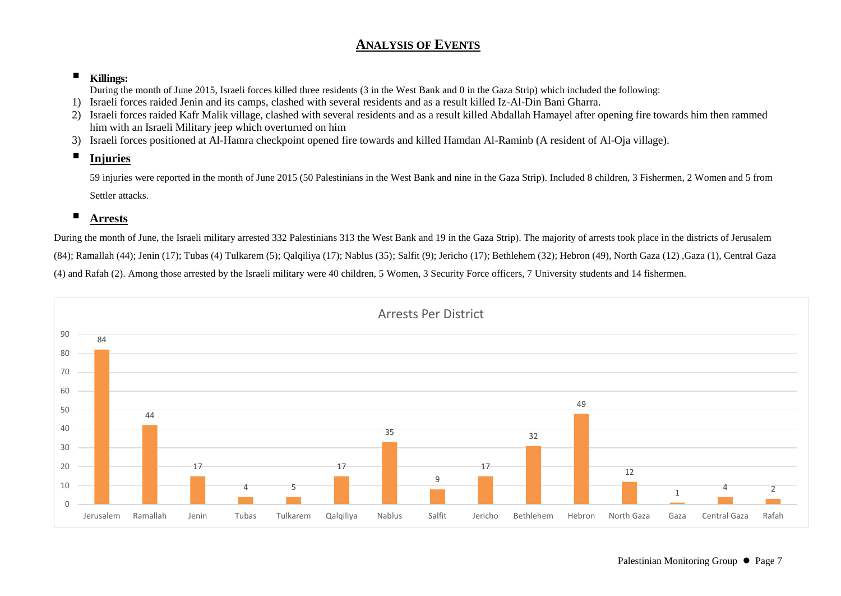# **ANALYSIS OF EVENTS**

## **Killings:**

During the month of June 2015, Israeli forces killed three residents (3 in the West Bank and 0 in the Gaza Strip) which included the following:

- 1) Israeli forces raided Jenin and its camps, clashed with several residents and as a result killed Iz-Al-Din Bani Gharra.
- 2) Israeli forces raided Kafr Malik village, clashed with several residents and as a result killed Abdallah Hamayel after opening fire towards him then rammed him with an Israeli Military jeep which overturned on him
- 3) Israeli forces positioned at Al-Hamra checkpoint opened fire towards and killed Hamdan Al-Raminb (A resident of Al-Oja village).

# **Injuries**

59 injuries were reported in the month of June 2015 (50 Palestinians in the West Bank and nine in the Gaza Strip). Included 8 children, 3 Fishermen, 2 Women and 5 from Settler attacks.

# **Arrests**

During the month of June, the Israeli military arrested 332 Palestinians 313 the West Bank and 19 in the Gaza Strip). The majority of arrests took place in the districts of Jerusalem (84); Ramallah (44); Jenin (17); Tubas (4) Tulkarem (5); Qalqiliya (17); Nablus (35); Salfit (9); Jericho (17); Bethlehem (32); Hebron (49), North Gaza (12) ,Gaza (1), Central Gaza (4) and Rafah (2). Among those arrested by the Israeli military were 40 children, 5 Women, 3 Security Force officers, 7 University students and 14 fishermen.

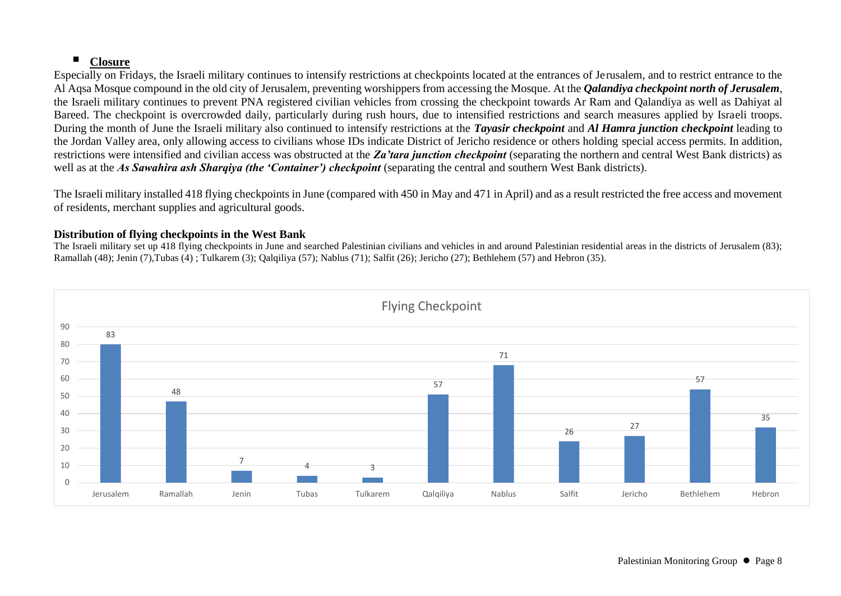## **Closure**

Especially on Fridays, the Israeli military continues to intensify restrictions at checkpoints located at the entrances of Jerusalem, and to restrict entrance to the Al Aqsa Mosque compound in the old city of Jerusalem, preventing worshippers from accessing the Mosque. At the *Qalandiya checkpoint north of Jerusalem*, the Israeli military continues to prevent PNA registered civilian vehicles from crossing the checkpoint towards Ar Ram and Qalandiya as well as Dahiyat al Bareed. The checkpoint is overcrowded daily, particularly during rush hours, due to intensified restrictions and search measures applied by Israeli troops. During the month of June the Israeli military also continued to intensify restrictions at the *Tayasir checkpoint* and *Al Hamra junction checkpoint* leading to the Jordan Valley area, only allowing access to civilians whose IDs indicate District of Jericho residence or others holding special access permits. In addition, restrictions were intensified and civilian access was obstructed at the *Za'tara junction checkpoint* (separating the northern and central West Bank districts) as well as at the *As Sawahira ash Sharqiya (the 'Container') checkpoint* (separating the central and southern West Bank districts).

The Israeli military installed 418 flying checkpoints in June (compared with 450 in May and 471 in April) and as a result restricted the free access and movement of residents, merchant supplies and agricultural goods.

#### **Distribution of flying checkpoints in the West Bank**

The Israeli military set up 418 flying checkpoints in June and searched Palestinian civilians and vehicles in and around Palestinian residential areas in the districts of Jerusalem (83); Ramallah (48); Jenin (7),Tubas (4) ; Tulkarem (3); Qalqiliya (57); Nablus (71); Salfit (26); Jericho (27); Bethlehem (57) and Hebron (35).

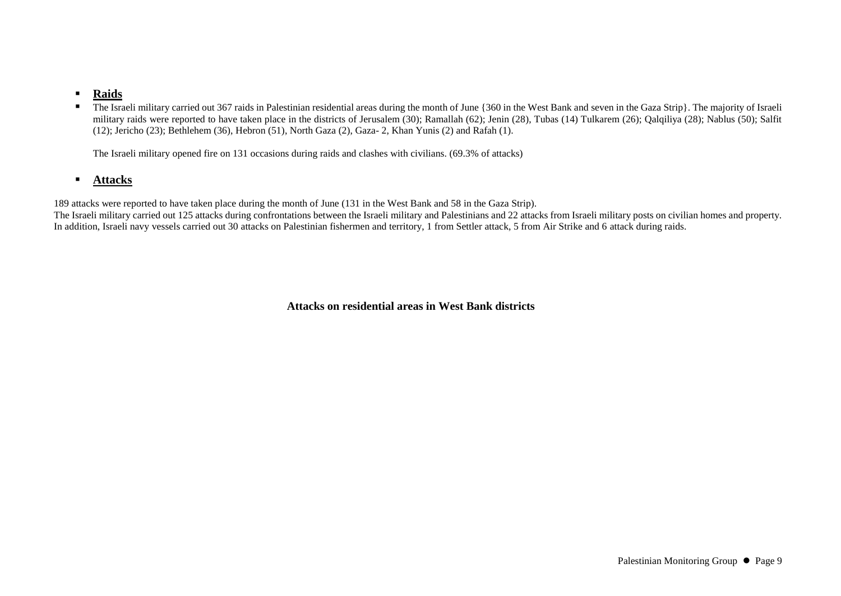#### **Raids**

■ The Israeli military carried out 367 raids in Palestinian residential areas during the month of June {360 in the West Bank and seven in the Gaza Strip}. The majority of Israeli military raids were reported to have taken place in the districts of Jerusalem (30); Ramallah (62); Jenin (28), Tubas (14) Tulkarem (26); Qalqiliya (28); Nablus (50); Salfit (12); Jericho (23); Bethlehem (36), Hebron (51), North Gaza (2), Gaza- 2, Khan Yunis (2) and Rafah (1).

The Israeli military opened fire on 131 occasions during raids and clashes with civilians. (69.3% of attacks)

#### **Attacks**

189 attacks were reported to have taken place during the month of June (131 in the West Bank and 58 in the Gaza Strip).

The Israeli military carried out 125 attacks during confrontations between the Israeli military and Palestinians and 22 attacks from Israeli military posts on civilian homes and property. In addition, Israeli navy vessels carried out 30 attacks on Palestinian fishermen and territory, 1 from Settler attack, 5 from Air Strike and 6 attack during raids.

**Attacks on residential areas in West Bank districts**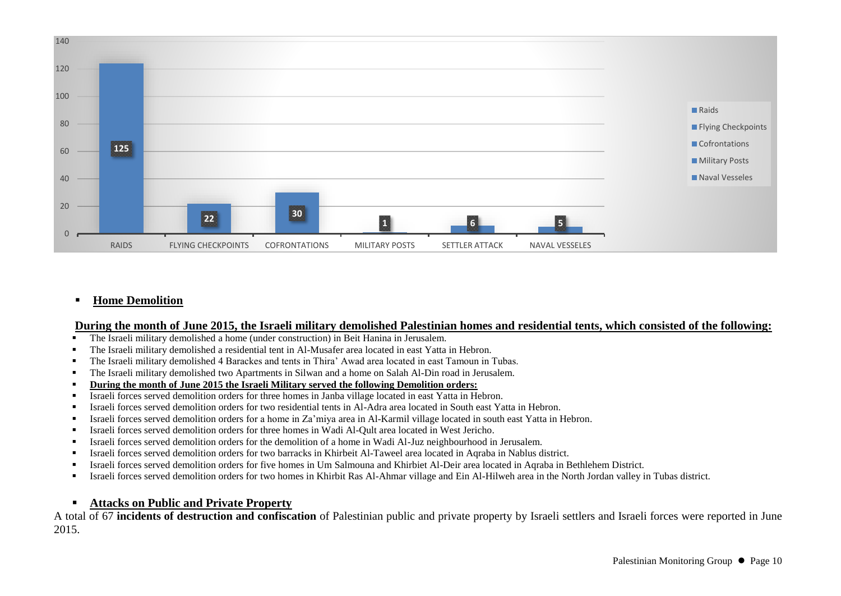

#### **Home Demolition**

#### **During the month of June 2015, the Israeli military demolished Palestinian homes and residential tents, which consisted of the following:**

- The Israeli military demolished a home (under construction) in Beit Hanina in Jerusalem.
- The Israeli military demolished a residential tent in Al-Musafer area located in east Yatta in Hebron.
- The Israeli military demolished 4 Barackes and tents in Thira' Awad area located in east Tamoun in Tubas.
- The Israeli military demolished two Apartments in Silwan and a home on Salah Al-Din road in Jerusalem.
- **During the month of June 2015 the Israeli Military served the following Demolition orders:**
- Israeli forces served demolition orders for three homes in Janba village located in east Yatta in Hebron.
- Israeli forces served demolition orders for two residential tents in Al-Adra area located in South east Yatta in Hebron.
- Israeli forces served demolition orders for a home in Za'miya area in Al-Karmil village located in south east Yatta in Hebron.
- Israeli forces served demolition orders for three homes in Wadi Al-Qult area located in West Jericho.
- Israeli forces served demolition orders for the demolition of a home in Wadi Al-Juz neighbourhood in Jerusalem.
- Israeli forces served demolition orders for two barracks in Khirbeit Al-Taweel area located in Aqraba in Nablus district.
- Israeli forces served demolition orders for five homes in Um Salmouna and Khirbiet Al-Deir area located in Aqraba in Bethlehem District.
- Israeli forces served demolition orders for two homes in Khirbit Ras Al-Ahmar village and Ein Al-Hilweh area in the North Jordan valley in Tubas district.

# **Attacks on Public and Private Property**

A total of 67 **incidents of destruction and confiscation** of Palestinian public and private property by Israeli settlers and Israeli forces were reported in June 2015.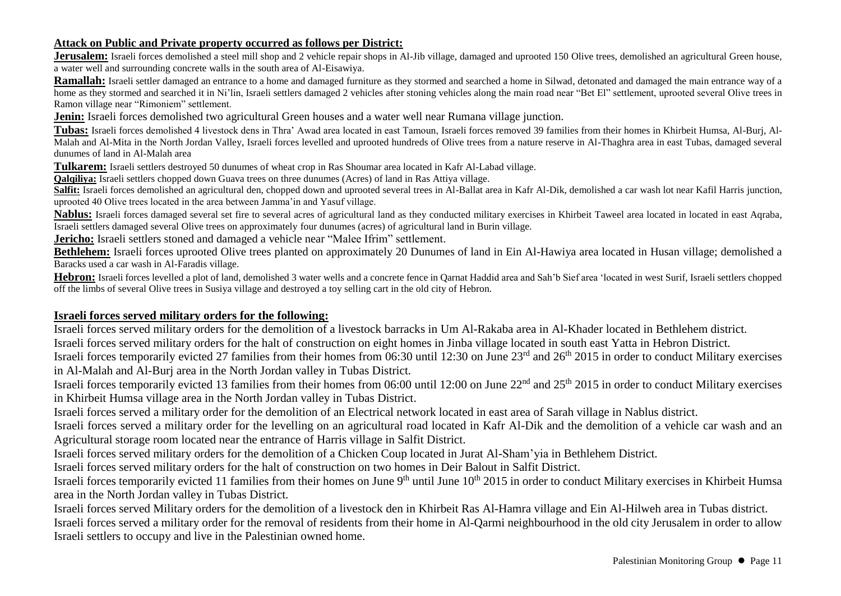#### **Attack on Public and Private property occurred as follows per District:**

**Jerusalem:** Israeli forces demolished a steel mill shop and 2 vehicle repair shops in Al-Jib village, damaged and uprooted 150 Olive trees, demolished an agricultural Green house, a water well and surrounding concrete walls in the south area of Al-Eisawiya.

**Ramallah:** Israeli settler damaged an entrance to a home and damaged furniture as they stormed and searched a home in Silwad, detonated and damaged the main entrance way of a home as they stormed and searched it in Ni'lin, Israeli settlers damaged 2 vehicles after stoning vehicles along the main road near "Bet El" settlement, uprooted several Olive trees in Ramon village near "Rimoniem" settlement.

**Jenin:** Israeli forces demolished two agricultural Green houses and a water well near Rumana village junction.

**Tubas:** Israeli forces demolished 4 livestock dens in Thra' Awad area located in east Tamoun, Israeli forces removed 39 families from their homes in Khirbeit Humsa, Al-Burj, Al-Malah and Al-Mita in the North Jordan Valley, Israeli forces levelled and uprooted hundreds of Olive trees from a nature reserve in Al-Thaghra area in east Tubas, damaged several dunumes of land in Al-Malah area

**Tulkarem:** Israeli settlers destroyed 50 dunumes of wheat crop in Ras Shoumar area located in Kafr Al-Labad village.

**Qalqiliya:** Israeli settlers chopped down Guava trees on three dunumes (Acres) of land in Ras Attiya village.

Salfit: Israeli forces demolished an agricultural den, chopped down and uprooted several trees in Al-Ballat area in Kafr Al-Dik, demolished a car wash lot near Kafil Harris junction, uprooted 40 Olive trees located in the area between Jamma'in and Yasuf village.

Nablus: Israeli forces damaged several set fire to several acres of agricultural land as they conducted military exercises in Khirbeit Taweel area located in located in east Aqraba, Israeli settlers damaged several Olive trees on approximately four dunumes (acres) of agricultural land in Burin village.

**Jericho:** Israeli settlers stoned and damaged a vehicle near "Malee Ifrim" settlement.

**Bethlehem:** Israeli forces uprooted Olive trees planted on approximately 20 Dunumes of land in Ein Al-Hawiya area located in Husan village; demolished a Baracks used a car wash in Al-Faradis village.

**Hebron:** Israeli forces levelled a plot of land, demolished 3 water wells and a concrete fence in Oarnat Haddid area and Sah'b Sief area 'located in west Surif, Israeli settlers chopped off the limbs of several Olive trees in Susiya village and destroyed a toy selling cart in the old city of Hebron.

#### **Israeli forces served military orders for the following:**

Israeli forces served military orders for the demolition of a livestock barracks in Um Al-Rakaba area in Al-Khader located in Bethlehem district. Israeli forces served military orders for the halt of construction on eight homes in Jinba village located in south east Yatta in Hebron District.

Israeli forces temporarily evicted 27 families from their homes from 06:30 until 12:30 on June 23rd and 26th 2015 in order to conduct Military exercises in Al-Malah and Al-Burj area in the North Jordan valley in Tubas District.

Israeli forces temporarily evicted 13 families from their homes from 06:00 until 12:00 on June 22nd and 25th 2015 in order to conduct Military exercises in Khirbeit Humsa village area in the North Jordan valley in Tubas District.

Israeli forces served a military order for the demolition of an Electrical network located in east area of Sarah village in Nablus district.

Israeli forces served a military order for the levelling on an agricultural road located in Kafr Al-Dik and the demolition of a vehicle car wash and an Agricultural storage room located near the entrance of Harris village in Salfit District.

Israeli forces served military orders for the demolition of a Chicken Coup located in Jurat Al-Sham'yia in Bethlehem District.

Israeli forces served military orders for the halt of construction on two homes in Deir Balout in Salfit District.

Israeli forces temporarily evicted 11 families from their homes on June 9<sup>th</sup> until June 10<sup>th</sup> 2015 in order to conduct Military exercises in Khirbeit Humsa area in the North Jordan valley in Tubas District.

Israeli forces served Military orders for the demolition of a livestock den in Khirbeit Ras Al-Hamra village and Ein Al-Hilweh area in Tubas district. Israeli forces served a military order for the removal of residents from their home in Al-Qarmi neighbourhood in the old city Jerusalem in order to allow Israeli settlers to occupy and live in the Palestinian owned home.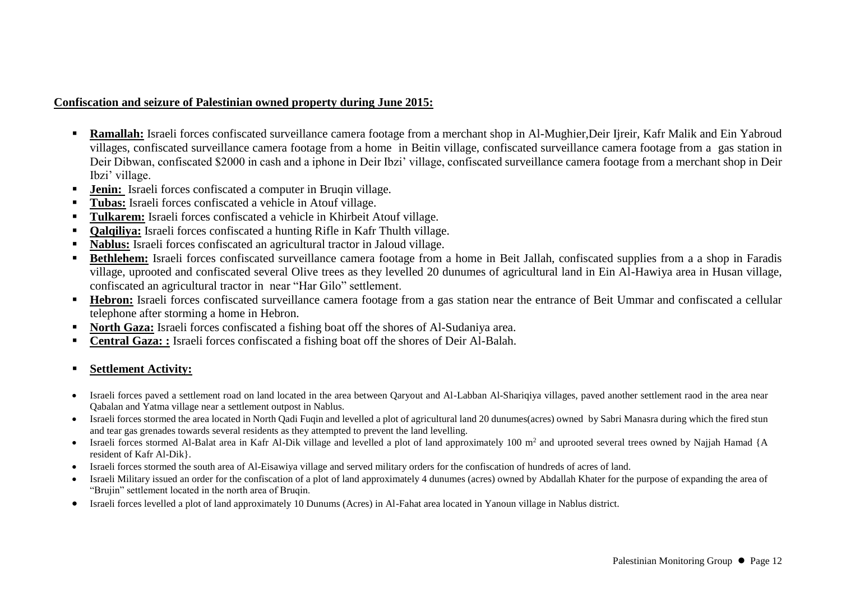#### **Confiscation and seizure of Palestinian owned property during June 2015:**

- **Ramallah:** Israeli forces confiscated surveillance camera footage from a merchant shop in Al-Mughier, Deir Ijreir, Kafr Malik and Ein Yabroud villages, confiscated surveillance camera footage from a home in Beitin village, confiscated surveillance camera footage from a gas station in Deir Dibwan, confiscated \$2000 in cash and a iphone in Deir Ibzi' village, confiscated surveillance camera footage from a merchant shop in Deir Ibzi' village.
- **Jenin:** Israeli forces confiscated a computer in Bruqin village.
- **Tubas:** Israeli forces confiscated a vehicle in Atouf village.
- **Tulkarem:** Israeli forces confiscated a vehicle in Khirbeit Atouf village.
- **Oalqiliya:** Israeli forces confiscated a hunting Rifle in Kafr Thulth village.
- **Nablus:** Israeli forces confiscated an agricultural tractor in Jaloud village.
- **Bethlehem:** Israeli forces confiscated surveillance camera footage from a home in Beit Jallah, confiscated supplies from a a shop in Faradis village, uprooted and confiscated several Olive trees as they levelled 20 dunumes of agricultural land in Ein Al-Hawiya area in Husan village, confiscated an agricultural tractor in near "Har Gilo" settlement.
- **Hebron:** Israeli forces confiscated surveillance camera footage from a gas station near the entrance of Beit Ummar and confiscated a cellular telephone after storming a home in Hebron.
- **North Gaza:** Israeli forces confiscated a fishing boat off the shores of Al-Sudaniya area.
- **Central Gaza: :** Israeli forces confiscated a fishing boat off the shores of Deir Al-Balah.

#### **Settlement Activity:**

- Israeli forces paved a settlement road on land located in the area between Qaryout and Al-Labban Al-Shariqiya villages, paved another settlement raod in the area near Qabalan and Yatma village near a settlement outpost in Nablus.
- Israeli forces stormed the area located in North Qadi Fuqin and levelled a plot of agricultural land 20 dunumes(acres) owned by Sabri Manasra during which the fired stun and tear gas grenades towards several residents as they attempted to prevent the land levelling.
- Israeli forces stormed Al-Balat area in Kafr Al-Dik village and levelled a plot of land approximately 100  $m<sup>2</sup>$  and uprooted several trees owned by Najjah Hamad {A resident of Kafr Al-Dik}.
- Israeli forces stormed the south area of Al-Eisawiya village and served military orders for the confiscation of hundreds of acres of land.
- Israeli Military issued an order for the confiscation of a plot of land approximately 4 dunumes (acres) owned by Abdallah Khater for the purpose of expanding the area of "Brujin" settlement located in the north area of Bruqin.
- Israeli forces levelled a plot of land approximately 10 Dunums (Acres) in Al-Fahat area located in Yanoun village in Nablus district.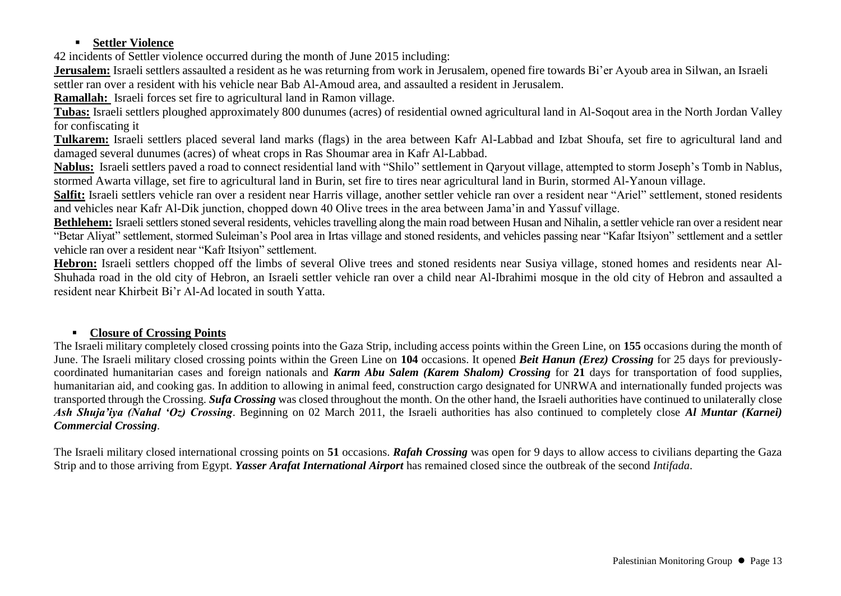## **Settler Violence**

42 incidents of Settler violence occurred during the month of June 2015 including:

**Jerusalem:** Israeli settlers assaulted a resident as he was returning from work in Jerusalem, opened fire towards Bi'er Ayoub area in Silwan, an Israeli settler ran over a resident with his vehicle near Bab Al-Amoud area, and assaulted a resident in Jerusalem.

**Ramallah:** Israeli forces set fire to agricultural land in Ramon village.

**Tubas:** Israeli settlers ploughed approximately 800 dunumes (acres) of residential owned agricultural land in Al-Soqout area in the North Jordan Valley for confiscating it

**Tulkarem:** Israeli settlers placed several land marks (flags) in the area between Kafr Al-Labbad and Izbat Shoufa, set fire to agricultural land and damaged several dunumes (acres) of wheat crops in Ras Shoumar area in Kafr Al-Labbad.

**Nablus:** Israeli settlers paved a road to connect residential land with "Shilo" settlement in Qaryout village, attempted to storm Joseph's Tomb in Nablus, stormed Awarta village, set fire to agricultural land in Burin, set fire to tires near agricultural land in Burin, stormed Al-Yanoun village.

**Salfit:** Israeli settlers vehicle ran over a resident near Harris village, another settler vehicle ran over a resident near "Ariel" settlement, stoned residents and vehicles near Kafr Al-Dik junction, chopped down 40 Olive trees in the area between Jama'in and Yassuf village.

**Bethlehem:** Israeli settlers stoned several residents, vehicles travelling along the main road between Husan and Nihalin, a settler vehicle ran over a resident near "Betar Aliyat" settlement, stormed Suleiman's Pool area in Irtas village and stoned residents, and vehicles passing near "Kafar Itsiyon" settlement and a settler vehicle ran over a resident near "Kafr Itsiyon" settlement.

**Hebron:** Israeli settlers chopped off the limbs of several Olive trees and stoned residents near Susiya village, stoned homes and residents near Al-Shuhada road in the old city of Hebron, an Israeli settler vehicle ran over a child near Al-Ibrahimi mosque in the old city of Hebron and assaulted a resident near Khirbeit Bi'r Al-Ad located in south Yatta.

## **Closure of Crossing Points**

The Israeli military completely closed crossing points into the Gaza Strip, including access points within the Green Line, on **155** occasions during the month of June. The Israeli military closed crossing points within the Green Line on **104** occasions. It opened *Beit Hanun (Erez) Crossing* for 25 days for previouslycoordinated humanitarian cases and foreign nationals and *Karm Abu Salem (Karem Shalom) Crossing* for **21** days for transportation of food supplies, humanitarian aid, and cooking gas. In addition to allowing in animal feed, construction cargo designated for UNRWA and internationally funded projects was transported through the Crossing. *Sufa Crossing* was closed throughout the month. On the other hand, the Israeli authorities have continued to unilaterally close *Ash Shuja'iya (Nahal 'Oz) Crossing*. Beginning on 02 March 2011, the Israeli authorities has also continued to completely close *Al Muntar (Karnei) Commercial Crossing*.

The Israeli military closed international crossing points on **51** occasions. *Rafah Crossing* was open for 9 days to allow access to civilians departing the Gaza Strip and to those arriving from Egypt. *Yasser Arafat International Airport* has remained closed since the outbreak of the second *Intifada*.